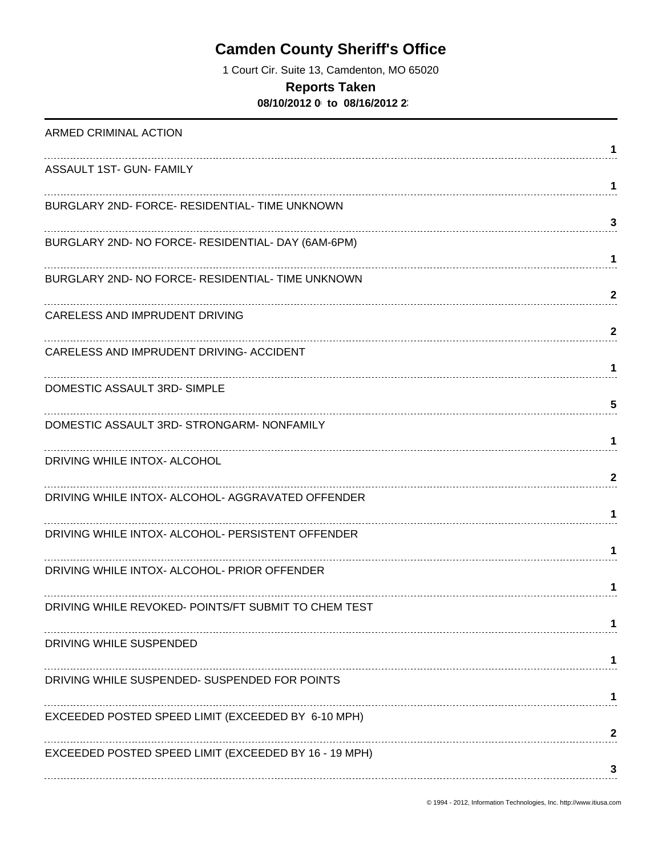# **Camden County Sheriff's Office**

1 Court Cir. Suite 13, Camdenton, MO 65020

#### **Reports Taken**

**08/10/2012 0 to 08/16/2012 23** 

| ARMED CRIMINAL ACTION                                 |              |
|-------------------------------------------------------|--------------|
|                                                       | 1            |
| ASSAULT 1ST- GUN- FAMILY                              | 1            |
| BURGLARY 2ND- FORCE- RESIDENTIAL- TIME UNKNOWN        |              |
|                                                       | 3            |
| BURGLARY 2ND- NO FORCE- RESIDENTIAL- DAY (6AM-6PM)    |              |
| BURGLARY 2ND- NO FORCE- RESIDENTIAL- TIME UNKNOWN     | 1            |
|                                                       | $\mathbf{2}$ |
| CARELESS AND IMPRUDENT DRIVING                        |              |
|                                                       | $\mathbf{2}$ |
| CARELESS AND IMPRUDENT DRIVING- ACCIDENT              | 1            |
| DOMESTIC ASSAULT 3RD-SIMPLE                           |              |
|                                                       | 5            |
| DOMESTIC ASSAULT 3RD- STRONGARM- NONFAMILY            | 1            |
| DRIVING WHILE INTOX- ALCOHOL                          |              |
|                                                       | 2            |
| DRIVING WHILE INTOX- ALCOHOL- AGGRAVATED OFFENDER     |              |
| DRIVING WHILE INTOX- ALCOHOL- PERSISTENT OFFENDER     | 1            |
|                                                       | 1            |
| DRIVING WHILE INTOX- ALCOHOL- PRIOR OFFENDER          |              |
|                                                       | 1            |
| DRIVING WHILE REVOKED- POINTS/FT SUBMIT TO CHEM TEST  |              |
| DRIVING WHILE SUSPENDED                               |              |
|                                                       |              |
| DRIVING WHILE SUSPENDED- SUSPENDED FOR POINTS         |              |
| EXCEEDED POSTED SPEED LIMIT (EXCEEDED BY 6-10 MPH)    |              |
|                                                       | 2            |
| EXCEEDED POSTED SPEED LIMIT (EXCEEDED BY 16 - 19 MPH) |              |
|                                                       | 3            |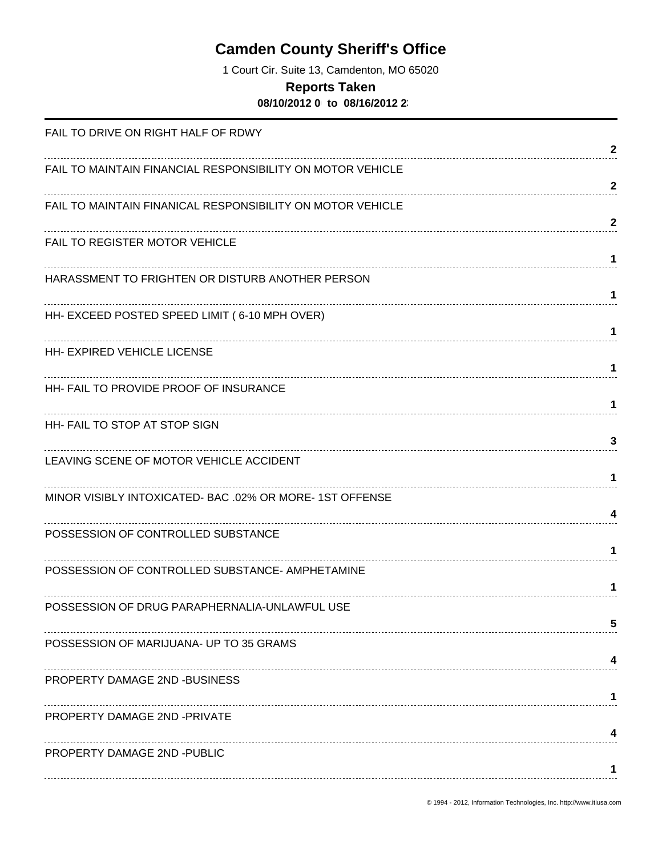# **Camden County Sheriff's Office**

1 Court Cir. Suite 13, Camdenton, MO 65020

#### **Reports Taken**

**08/10/2012 0 to 08/16/2012 23** 

| FAIL TO DRIVE ON RIGHT HALF OF RDWY                        |              |
|------------------------------------------------------------|--------------|
|                                                            | 2            |
| FAIL TO MAINTAIN FINANCIAL RESPONSIBILITY ON MOTOR VEHICLE | $\mathbf{2}$ |
| FAIL TO MAINTAIN FINANICAL RESPONSIBILITY ON MOTOR VEHICLE |              |
| FAIL TO REGISTER MOTOR VEHICLE                             | $\mathbf{2}$ |
|                                                            | 1            |
| HARASSMENT TO FRIGHTEN OR DISTURB ANOTHER PERSON           | 1            |
| HH- EXCEED POSTED SPEED LIMIT (6-10 MPH OVER)              |              |
| <b>HH- EXPIRED VEHICLE LICENSE</b>                         | 1            |
|                                                            | 1            |
| HH- FAIL TO PROVIDE PROOF OF INSURANCE                     | 1            |
| HH- FAIL TO STOP AT STOP SIGN                              |              |
| LEAVING SCENE OF MOTOR VEHICLE ACCIDENT                    | 3            |
|                                                            | 1            |
| MINOR VISIBLY INTOXICATED- BAC .02% OR MORE-1ST OFFENSE    | 4            |
| POSSESSION OF CONTROLLED SUBSTANCE                         |              |
| POSSESSION OF CONTROLLED SUBSTANCE- AMPHETAMINE            | 1            |
|                                                            | 1            |
| POSSESSION OF DRUG PARAPHERNALIA-UNLAWFUL USE              | 5            |
| POSSESSION OF MARIJUANA- UP TO 35 GRAMS                    |              |
| PROPERTY DAMAGE 2ND -BUSINESS                              | 4            |
|                                                            | 1            |
| PROPERTY DAMAGE 2ND -PRIVATE                               |              |
| PROPERTY DAMAGE 2ND -PUBLIC                                |              |
|                                                            | 1            |